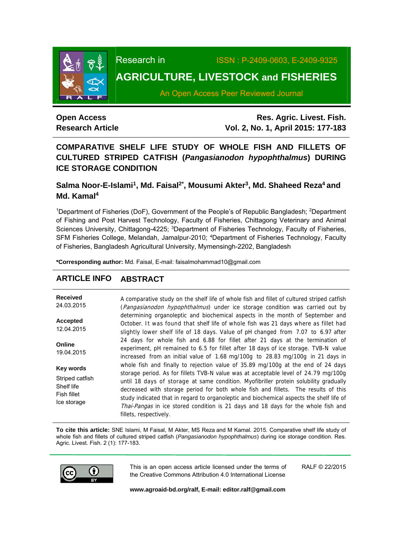

Research inISSN : P-2409-0603, E-2409-9325

# **AGRICULTURE, LIVESTOCK and FISHERIES**

An Open Access Peer Reviewed Journal

## **Open Access Research Article**

**Res. Agric. Livest. Fish. Vol. 2, No. 1, April 2015: 177-183**

## **COMPARATIVE SHELF LIFE STUDY OF WHOLE FISH AND FILLETS OF CULTURED STRIPED CATFISH (***Pangasianodon hypophthalmus***) DURING ICE STORAGE CONDITION**

## Salma Noor-E-Islami<sup>1</sup>, Md. Faisal<sup>2\*</sup>, Mousumi Akter<sup>3</sup>, Md. Shaheed Reza<sup>4</sup> and **Md. Kamal4**

<sup>1</sup>Department of Fisheries (DoF), Government of the People's of Republic Bangladesh; <sup>2</sup>Department of Fishing and Post Harvest Technology, Faculty of Fisheries, Chittagong Veterinary and Animal Sciences University, Chittagong-4225; <sup>3</sup>Department of Fisheries Technology, Faculty of Fisheries, SFM Fisheries College, Melandah, Jamalpur-2010; <sup>4</sup>Department of Fisheries Technology, Faculty of Fisheries, Bangladesh Agricultural University, Mymensingh-2202, Bangladesh

**\*Corresponding author:** Md. Faisal, E-mail: faisalmohammad10@gmail.com

## **ARTICLE INFO ABSTRACT**

**Received**  24.03.2015 **Accepted**  12.04.2015 **Online**  19.04.2015 **Key words** Striped catfish Shelf life Fish fillet Ice storage A comparative study on the shelf life of whole fish and fillet of cultured striped catfish (Pangasianodon hypophthalmus) under ice storage condition was carried out by determining organoleptic and biochemical aspects in the month of September and October. It was found that shelf life of whole fish was 21 days where as fillet had slightly lower shelf life of 18 days. Value of pH changed from 7.07 to 6.97 after 24 days for whole fish and 6.88 for fillet after 21 days at the termination of experiment, pH remained to 6.5 for fillet after 18 days of ice storage. TVB-N value increased from an initial value of 1.68 mg/100g to 28.83 mg/100g in 21 days in whole fish and finally to rejection value of 35.89 mg/100g at the end of 24 days storage period. As for fillets TVB-N value was at acceptable level of 24.79 mg/100g until 18 days of storage at same condition. Myofibriller protein solubility gradually decreased with storage period for both whole fish and fillets. The results of this study indicated that in regard to organoleptic and biochemical aspects the shelf life of Thai-Pangas in ice stored condition is 21 days and 18 days for the whole fish and fillets, respectively.

**To cite this article:** SNE Islami, M Faisal, M Akter, MS Reza and M Kamal. 2015. Comparative shelf life study of whole fish and fillets of cultured striped catfish (*Pangasianodon hypophthalmus*) during ice storage condition. Res. Agric. Livest. Fish. 2 (1): 177-183.



This is an open access article licensed under the terms of the Creative Commons Attribution 4.0 International License

RALF © 22/2015

**www.agroaid-bd.org/ralf, E-mail: editor.ralf@gmail.com**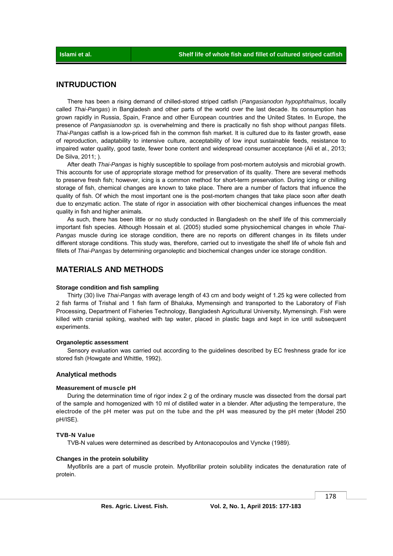## **INTRUDUCTION**

 There has been a rising demand of chilled-stored striped catfish (*Pangasianodon hypophthalmus*, locally called *Thai-Pangas*) in Bangladesh and other parts of the world over the last decade. Its consumption has grown rapidly in Russia, Spain, France and other European countries and the United States. In Europe, the presence of *Pangasianodon sp.* is overwhelming and there is practically no fish shop without *pangas* fillets. *Thai-Pangas* catfish is a low-priced fish in the common fish market. It is cultured due to its faster growth, ease of reproduction, adaptability to intensive culture, acceptability of low input sustainable feeds, resistance to impaired water quality, good taste, fewer bone content and widespread consumer acceptance (Ali et al., 2013; De Silva, 2011; ).

 After death *Thai-Pangas* is highly susceptible to spoilage from post-mortem autolysis and microbial growth. This accounts for use of appropriate storage method for preservation of its quality. There are several methods to preserve fresh fish; however, icing is a common method for short-term preservation. During icing or chilling storage of fish, chemical changes are known to take place. There are a number of factors that influence the quality of fish. Of which the most important one is the post-mortem changes that take place soon after death due to enzymatic action. The state of rigor in association with other biochemical changes influences the meat quality in fish and higher animals.

 As such, there has been little or no study conducted in Bangladesh on the shelf life of this commercially important fish species. Although Hossain et al. (2005) studied some physiochemical changes in whole *Thai-Pangas* muscle during ice storage condition, there are no reports on different changes in its fillets under different storage conditions. This study was, therefore, carried out to investigate the shelf life of whole fish and fillets of *Thai-Pangas* by determining organoleptic and biochemical changes under ice storage condition.

## **MATERIALS AND METHODS**

#### **Storage condition and fish sampling**

 Thirty (30) live *Thai-Pangas* with average length of 43 cm and body weight of 1.25 kg were collected from 2 fish farms of Trishal and 1 fish farm of Bhaluka, Mymensingh and transported to the Laboratory of Fish Processing, Department of Fisheries Technology, Bangladesh Agricultural University, Mymensingh. Fish were killed with cranial spiking, washed with tap water, placed in plastic bags and kept in ice until subsequent experiments.

#### **Organoleptic assessment**

 Sensory evaluation was carried out according to the guidelines described by EC freshness grade for ice stored fish (Howgate and Whittle, 1992).

### **Analytical methods**

#### **Measurement of muscle pH**

 During the determination time of rigor index 2 g of the ordinary muscle was dissected from the dorsal part of the sample and homogenized with 10 ml of distilled water in a blender. After adjusting the temperature, the electrode of the pH meter was put on the tube and the pH was measured by the pH meter (Model 250 pH/ISE).

#### **TVB-N Value**

TVB-N values were determined as described by Antonacopoulos and Vyncke (1989).

#### **Changes in the protein solubility**

 Myofibrils are a part of muscle protein. Myofibrillar protein solubility indicates the denaturation rate of protein.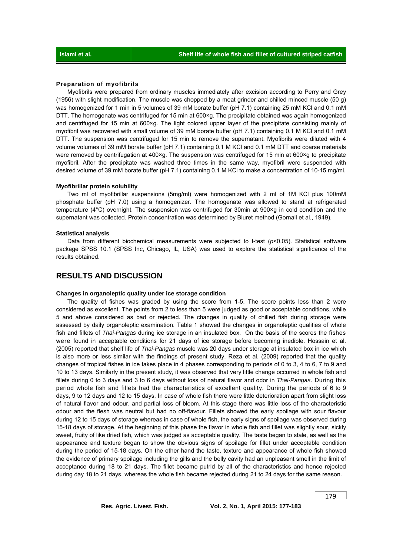#### **Preparation of myofibrils**

 Myofibrils were prepared from ordinary muscles immediately after excision according to Perry and Grey (1956) with slight modification. The muscle was chopped by a meat grinder and chilled minced muscle (50 g) was homogenized for 1 min in 5 volumes of 39 mM borate buffer (pH 7.1) containing 25 mM KCl and 0.1 mM DTT. The homogenate was centrifuged for 15 min at 600×g. The precipitate obtained was again homogenized and centrifuged for 15 min at 600×g. The light colored upper layer of the precipitate consisting mainly of myofibril was recovered with small volume of 39 mM borate buffer (pH 7.1) containing 0.1 M KCl and 0.1 mM DTT. The suspension was centrifuged for 15 min to remove the supernatant. Myofibrils were diluted with 4 volume volumes of 39 mM borate buffer (pH 7.1) containing 0.1 M KCl and 0.1 mM DTT and coarse materials were removed by centrifugation at 400×g. The suspension was centrifuged for 15 min at 600×g to precipitate myofibril. After the precipitate was washed three times in the same way, myofibril were suspended with desired volume of 39 mM borate buffer (pH 7.1) containing 0.1 M KCl to make a concentration of 10-15 mg/ml.

#### **Myofibrillar protein solubility**

 Two ml of myofibrillar suspensions (5mg/ml) were homogenized with 2 ml of 1M KCl plus 100mM phosphate buffer (pH 7.0) using a homogenizer. The homogenate was allowed to stand at refrigerated temperature (4°C) overnight. The suspension was centrifuged for 30min at 900×g in cold condition and the supernatant was collected. Protein concentration was determined by Biuret method (Gornall et al., 1949).

#### **Statistical analysis**

Data from different biochemical measurements were subjected to t-test ( $p$ <0.05). Statistical software package SPSS 10.1 (SPSS Inc, Chicago, IL, USA) was used to explore the statistical significance of the results obtained.

## **RESULTS AND DISCUSSION**

#### **Changes in organoleptic quality under ice storage condition**

 The quality of fishes was graded by using the score from 1-5. The score points less than 2 were considered as excellent. The points from 2 to less than 5 were judged as good or acceptable conditions, while 5 and above considered as bad or rejected. The changes in quality of chilled fish during storage were assessed by daily organoleptic examination. Table 1 showed the changes in organoleptic qualities of whole fish and fillets of *Thai-Pangas* during ice storage in an insulated box. On the basis of the scores the fishes were found in acceptable conditions for 21 days of ice storage before becoming inedible. Hossain et al. (2005) reported that shelf life of *Thai-Pangas* muscle was 20 days under storage at insulated box in ice which is also more or less similar with the findings of present study. Reza et al. (2009) reported that the quality changes of tropical fishes in ice takes place in 4 phases corresponding to periods of 0 to 3, 4 to 6, 7 to 9 and 10 to 13 days. Similarly in the present study, it was observed that very little change occurred in whole fish and fillets during 0 to 3 days and 3 to 6 days without loss of natural flavor and odor in *Thai-Pangas*. During this period whole fish and fillets had the characteristics of excellent quality. During the periods of 6 to 9 days, 9 to 12 days and 12 to 15 days, In case of whole fish there were little deterioration apart from slight loss of natural flavor and odour, and partial loss of bloom. At this stage there was little loss of the characteristic odour and the flesh was neutral but had no off-flavour. Fillets showed the early spoilage with sour flavour during 12 to 15 days of storage whereas in case of whole fish, the early signs of spoilage was observed during 15-18 days of storage. At the beginning of this phase the flavor in whole fish and fillet was slightly sour, sickly sweet, fruity of like dried fish, which was judged as acceptable quality. The taste began to stale, as well as the appearance and texture began to show the obvious signs of spoilage for fillet under acceptable condition during the period of 15-18 days. On the other hand the taste, texture and appearance of whole fish showed the evidence of primary spoilage including the gills and the belly cavity had an unpleasant smell in the limit of acceptance during 18 to 21 days. The fillet became putrid by all of the characteristics and hence rejected during day 18 to 21 days, whereas the whole fish became rejected during 21 to 24 days for the same reason.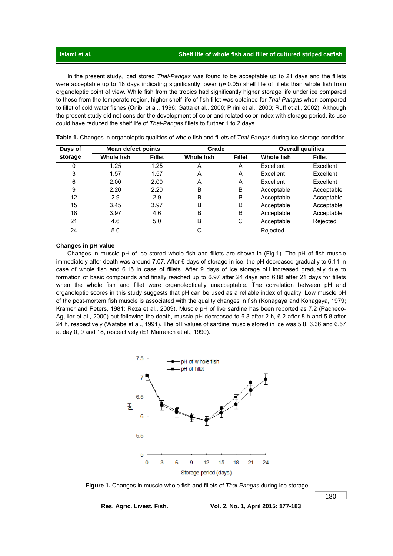**Islami et al.** Shelf life of whole fish and fillet of cultured striped catfish **Shelf life of whole fish and fillet of cultured striped catfish** 

 In the present study, iced stored *Thai-Pangas* was found to be acceptable up to 21 days and the fillets were acceptable up to 18 days indicating significantly lower ( $p$ <0.05) shelf life of fillets than whole fish from organoleptic point of view. While fish from the tropics had significantly higher storage life under ice compared to those from the temperate region, higher shelf life of fish fillet was obtained for *Thai-Pangas* when compared to fillet of cold water fishes (Onibi et al., 1996; Gatta et al., 2000; Pirini et al., 2000; Ruff et al., 2002). Although the present study did not consider the development of color and related color index with storage period, its use could have reduced the shelf life of *Thai-Pangas* fillets to further 1 to 2 days.

| Days of | <b>Mean defect points</b> |               | Grade      |               |            | <b>Overall qualities</b> |
|---------|---------------------------|---------------|------------|---------------|------------|--------------------------|
| storage | Whole fish                | <b>Fillet</b> | Whole fish | <b>Fillet</b> | Whole fish | <b>Fillet</b>            |
| 0       | 1.25                      | 1.25          | A          | A             | Excellent  | Excellent                |
| 3       | 1.57                      | 1.57          | A          | A             | Excellent  | Excellent                |
| 6       | 2.00                      | 2.00          | A          | A             | Excellent  | Excellent                |
| 9       | 2.20                      | 2.20          | В          | B             | Acceptable | Acceptable               |
| 12      | 2.9                       | 2.9           | В          | B             | Acceptable | Acceptable               |
| 15      | 3.45                      | 3.97          | B          | B             | Acceptable | Acceptable               |
| 18      | 3.97                      | 4.6           | B          | B             | Acceptable | Acceptable               |
| 21      | 4.6                       | 5.0           | В          | С             | Acceptable | Rejected                 |
| 24      | 5.0                       |               | С          |               | Rejected   |                          |

 **Table 1.** Changes in organoleptic qualities of whole fish and fillets of *Thai-Pangas* during ice storage condition

#### **Changes in pH value**

 Changes in muscle pH of ice stored whole fish and fillets are shown in (Fig.1). The pH of fish muscle immediately after death was around 7.07. After 6 days of storage in ice, the pH decreased gradually to 6.11 in case of whole fish and 6.15 in case of fillets. After 9 days of ice storage pH increased gradually due to formation of basic compounds and finally reached up to 6.97 after 24 days and 6.88 after 21 days for fillets when the whole fish and fillet were organoleptically unacceptable. The correlation between pH and organoleptic scores in this study suggests that pH can be used as a reliable index of quality. Low muscle pH of the post-mortem fish muscle is associated with the quality changes in fish (Konagaya and Konagaya, 1979; Kramer and Peters, 1981; Reza et al., 2009). Muscle pH of live sardine has been reported as 7.2 (Pacheco-Aguiler et al., 2000) but following the death, muscle pH decreased to 6.8 after 2 h, 6.2 after 8 h and 5.8 after 24 h, respectively (Watabe et al., 1991). The pH values of sardine muscle stored in ice was 5.8, 6.36 and 6.57 at day 0, 9 and 18, respectively (E1 Marrakch et al., 1990).



 **Figure 1.** Changes in muscle whole fish and fillets of *Thai-Pangas* during ice storage

**Res. Agric. Livest. Fish. Vol. 2, No. 1, April 2015: 177-183**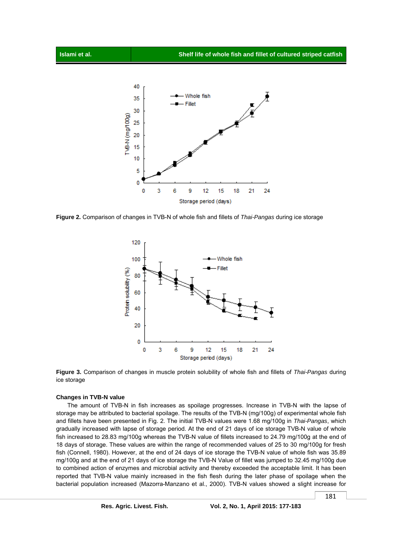

**Figure 2.** Comparison of changes in TVB-N of whole fish and fillets of *Thai-Pangas* during ice storage





#### **Changes in TVB-N value**

 The amount of TVB-N in fish increases as spoilage progresses. Increase in TVB-N with the lapse of storage may be attributed to bacterial spoilage. The results of the TVB-N (mg/100g) of experimental whole fish and fillets have been presented in Fig. 2. The initial TVB-N values were 1.68 mg/100g in *Thai-Pangas*, which gradually increased with lapse of storage period. At the end of 21 days of ice storage TVB-N value of whole fish increased to 28.83 mg/100g whereas the TVB-N value of fillets increased to 24.79 mg/100g at the end of 18 days of storage. These values are within the range of recommended values of 25 to 30 mg/100g for fresh fish (Connell, 1980). However, at the end of 24 days of ice storage the TVB-N value of whole fish was 35.89 mg/100g and at the end of 21 days of ice storage the TVB-N Value of fillet was jumped to 32.45 mg/100g due to combined action of enzymes and microbial activity and thereby exceeded the acceptable limit. It has been reported that TVB-N value mainly increased in the fish flesh during the later phase of spoilage when the bacterial population increased (Mazorra-Manzano et al., 2000). TVB-N values showed a slight increase for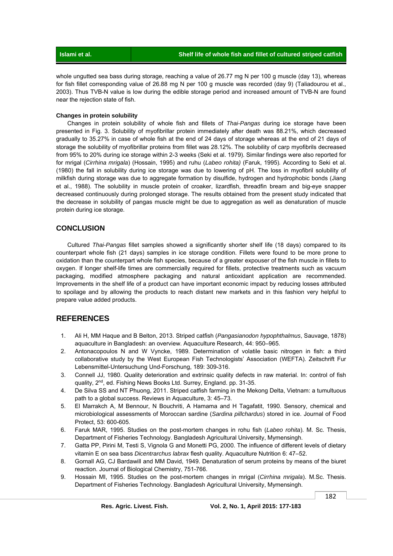| Islami et al. |  |
|---------------|--|
|               |  |

whole ungutted sea bass during storage, reaching a value of 26.77 mg N per 100 g muscle (day 13), whereas for fish fillet corresponding value of 26.88 mg N per 100 g muscle was recorded (day 9) (Taliadourou et al., 2003). Thus TVB-N value is low during the edible storage period and increased amount of TVB-N are found near the rejection state of fish.

### **Changes in protein solubility**

 Changes in protein solubility of whole fish and fillets of *Thai-Pangas* during ice storage have been presented in Fig. 3. Solubility of myofibrillar protein immediately after death was 88.21%, which decreased gradually to 35.27% in case of whole fish at the end of 24 days of storage whereas at the end of 21 days of storage the solubility of myofibrillar proteins from fillet was 28.12%. The solubility of carp myofibrils decreased from 95% to 20% during ice storage within 2-3 weeks (Seki et al. 1979). Similar findings were also reported for for mrigal (*Cirrhina mrigala*) (Hossain, 1995) and ruhu (*Labeo rohita)* (Faruk, 1995)*.* According to Seki et al. (1980) the fall in solubility during ice storage was due to lowering of pH. The loss in myofibril solubility of milkfish during storage was due to aggregate formation by disulfide, hydrogen and hydrophobic bonds (Jiang et al., 1988). The solubility in muscle protein of croaker, lizardfish, threadfin bream and big-eye snapper decreased continuously during prolonged storage. The results obtained from the present study indicated that the decrease in solubility of pangas muscle might be due to aggregation as well as denaturation of muscle protein during ice storage.

## **CONCLUSION**

 Cultured *Thai-Pangas* fillet samples showed a significantly shorter shelf life (18 days) compared to its counterpart whole fish (21 days) samples in ice storage condition. Fillets were found to be more prone to oxidation than the counterpart whole fish species, because of a greater expouser of the fish muscle in fillets to oxygen. If longer shelf-life times are commercially required for fillets, protective treatments such as vacuum packaging, modified atmosphere packaging and natural antioxidant application are recommended. Improvements in the shelf life of a product can have important economic impact by reducing losses attributed to spoilage and by allowing the products to reach distant new markets and in this fashion very helpful to prepare value added products.

## **REFERENCES**

- 1. Ali H, MM Haque and B Belton, 2013. Striped catfish (*Pangasianodon hypophthalmus*, Sauvage, 1878) aquaculture in Bangladesh: an overview. Aquaculture Research, 44: 950–965.
- 2. Antonacopoulos N and W Vyncke, 1989. Determination of volatile basic nitrogen in fish: a third collaborative study by the West European Fish Technologists' Association (WEFTA). Zeitschrift Fur Lebensmittel-Untersuchung Und-Forschung, 189: 309-316.
- 3. Connell JJ, 1980. Quality deterioration and extrinsic quality defects in raw material. In: control of fish quality, 2<sup>nd</sup>, ed. Fishing News Books Ltd. Surrey, England. pp. 31-35.
- 4. De Silva SS and NT Phuong, 2011. Striped catfish farming in the Mekong Delta, Vietnam: a tumultuous path to a global success. Reviews in Aquaculture, 3: 45–73.
- 5. El Marrakch A, M Bennour, N Bouchriti, A Hamama and H Tagafatit, 1990. Sensory, chemical and microbiological assessments of Moroccan sardine (*Sardina pillchardus*) stored in ice. Journal of Food Protect, 53: 600-605.
- 6. Faruk MAR, 1995. Studies on the post-mortem changes in rohu fish (*Labeo rohita*). M. Sc. Thesis, Department of Fisheries Technology. Bangladesh Agricultural University, Mymensingh.
- 7. Gatta PP, Pirini M, Testi S, Vignola G and Monetti PG, 2000. The influence of different levels of dietary vitamin E on sea bass *Dicentrarchus labrax* flesh quality. Aquaculture Nutrition 6: 47–52.
- 8. Gornall AG, CJ Bardawill and MM David, 1949. Denaturation of serum proteins by means of the biuret reaction. Journal of Biological Chemistry, 751-766.
- 9. Hossain MI, 1995. Studies on the post-mortem changes in mrigal (*Cirrhina mrigala*). M.Sc. Thesis. Department of Fisheries Technology. Bangladesh Agricultural University, Mymensingh.